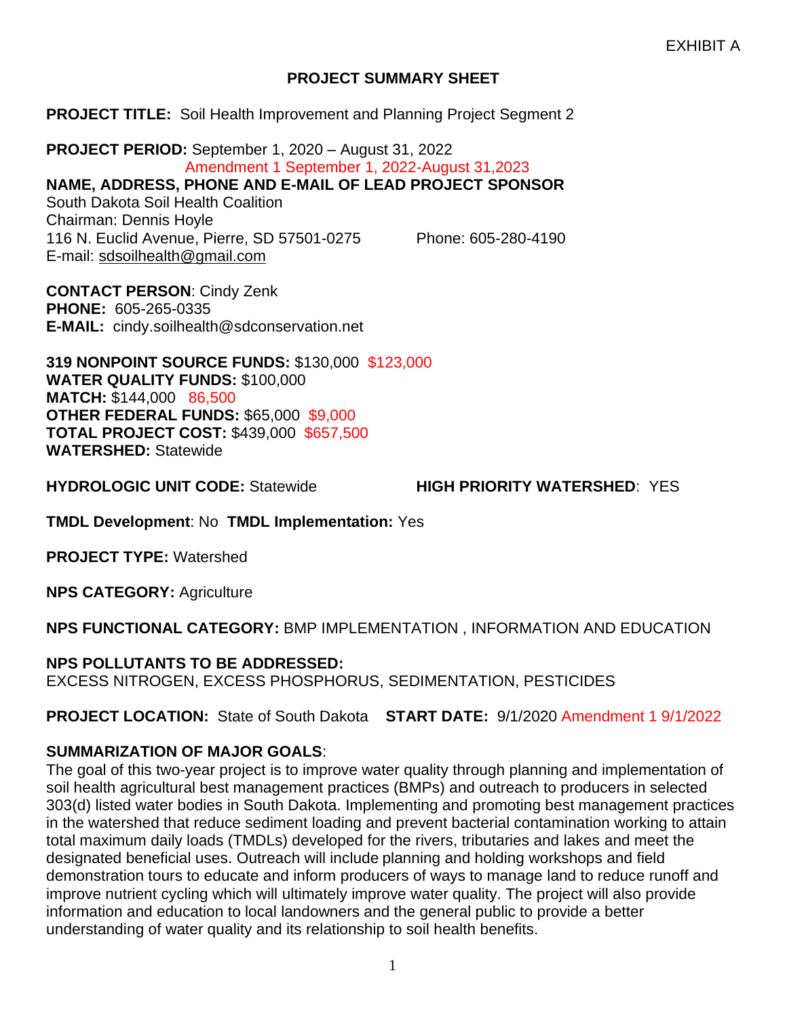### **PROJECT SUMMARY SHEET**

#### **PROJECT TITLE:** Soil Health Improvement and Planning Project Segment 2

**PROJECT PERIOD:** September 1, 2020 – August 31, 2022 Amendment 1 September 1, 2022-August 31,2023 **NAME, ADDRESS, PHONE AND E-MAIL OF LEAD PROJECT SPONSOR** South Dakota Soil Health Coalition Chairman: Dennis Hoyle 116 N. Euclid Avenue, Pierre, SD 57501-0275 Phone: 605-280-4190 E-mail: [sdsoilhealth@gmail.com](mailto:sdsoilhealth@gmail.com)

**CONTACT PERSON**: Cindy Zenk **PHONE:** 605-265-0335 **E-MAIL:** cindy.soilhealth@sdconservation.net

**319 NONPOINT SOURCE FUNDS:** \$130,000 \$123,000 **WATER QUALITY FUNDS:** \$100,000 **MATCH:** \$144,000 86,500 **OTHER FEDERAL FUNDS:** \$65,000 \$9,000 **TOTAL PROJECT COST:** \$439,000 \$657,500 **WATERSHED:** Statewide

**HYDROLOGIC UNIT CODE:** Statewide **HIGH PRIORITY WATERSHED**: YES

**TMDL Development**: No **TMDL Implementation:** Yes

**PROJECT TYPE:** Watershed

**NPS CATEGORY:** Agriculture

**NPS FUNCTIONAL CATEGORY:** BMP IMPLEMENTATION , INFORMATION AND EDUCATION

**NPS POLLUTANTS TO BE ADDRESSED:**

EXCESS NITROGEN, EXCESS PHOSPHORUS, SEDIMENTATION, PESTICIDES

**PROJECT LOCATION:** State of South Dakota **START DATE:** 9/1/2020 Amendment 1 9/1/2022

### **SUMMARIZATION OF MAJOR GOALS**:

The goal of this two-year project is to improve water quality through planning and implementation of soil health agricultural best management practices (BMPs) and outreach to producers in selected 303(d) listed water bodies in South Dakota. Implementing and promoting best management practices in the watershed that reduce sediment loading and prevent bacterial contamination working to attain total maximum daily loads (TMDLs) developed for the rivers, tributaries and lakes and meet the designated beneficial uses. Outreach will include planning and holding workshops and field demonstration tours to educate and inform producers of ways to manage land to reduce runoff and improve nutrient cycling which will ultimately improve water quality. The project will also provide information and education to local landowners and the general public to provide a better understanding of water quality and its relationship to soil health benefits.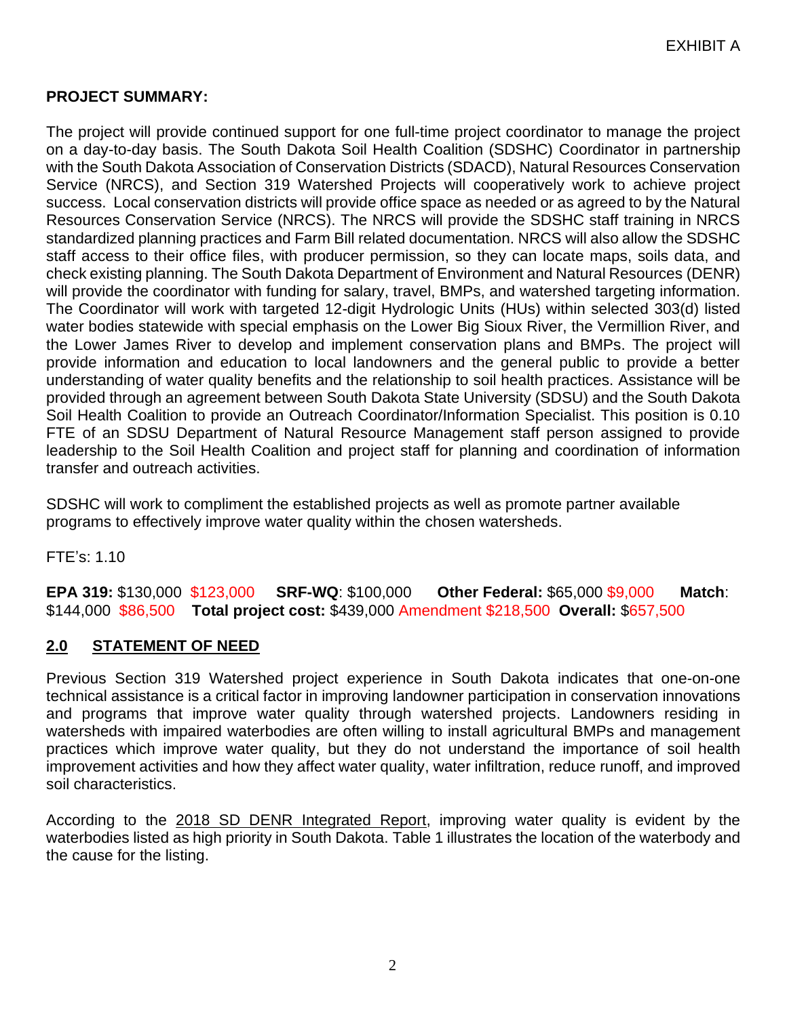### **PROJECT SUMMARY:**

The project will provide continued support for one full-time project coordinator to manage the project on a day-to-day basis. The South Dakota Soil Health Coalition (SDSHC) Coordinator in partnership with the South Dakota Association of Conservation Districts (SDACD), Natural Resources Conservation Service (NRCS), and Section 319 Watershed Projects will cooperatively work to achieve project success. Local conservation districts will provide office space as needed or as agreed to by the Natural Resources Conservation Service (NRCS). The NRCS will provide the SDSHC staff training in NRCS standardized planning practices and Farm Bill related documentation. NRCS will also allow the SDSHC staff access to their office files, with producer permission, so they can locate maps, soils data, and check existing planning. The South Dakota Department of Environment and Natural Resources (DENR) will provide the coordinator with funding for salary, travel, BMPs, and watershed targeting information. The Coordinator will work with targeted 12-digit Hydrologic Units (HUs) within selected 303(d) listed water bodies statewide with special emphasis on the Lower Big Sioux River, the Vermillion River, and the Lower James River to develop and implement conservation plans and BMPs. The project will provide information and education to local landowners and the general public to provide a better understanding of water quality benefits and the relationship to soil health practices. Assistance will be provided through an agreement between South Dakota State University (SDSU) and the South Dakota Soil Health Coalition to provide an Outreach Coordinator/Information Specialist. This position is 0.10 FTE of an SDSU Department of Natural Resource Management staff person assigned to provide leadership to the Soil Health Coalition and project staff for planning and coordination of information transfer and outreach activities.

SDSHC will work to compliment the established projects as well as promote partner available programs to effectively improve water quality within the chosen watersheds.

FTE's: 1.10

**EPA 319:** \$130,000 \$123,000 **SRF-WQ**: \$100,000 **Other Federal:** \$65,000 \$9,000 **Match**: \$144,000 \$86,500 **Total project cost:** \$439,000 Amendment \$218,500 **Overall:** \$657,500

### **2.0 STATEMENT OF NEED**

Previous Section 319 Watershed project experience in South Dakota indicates that one-on-one technical assistance is a critical factor in improving landowner participation in conservation innovations and programs that improve water quality through watershed projects. Landowners residing in watersheds with impaired waterbodies are often willing to install agricultural BMPs and management practices which improve water quality, but they do not understand the importance of soil health improvement activities and how they affect water quality, water infiltration, reduce runoff, and improved soil characteristics.

According to the 2018 SD DENR Integrated Report, improving water quality is evident by the waterbodies listed as high priority in South Dakota. Table 1 illustrates the location of the waterbody and the cause for the listing.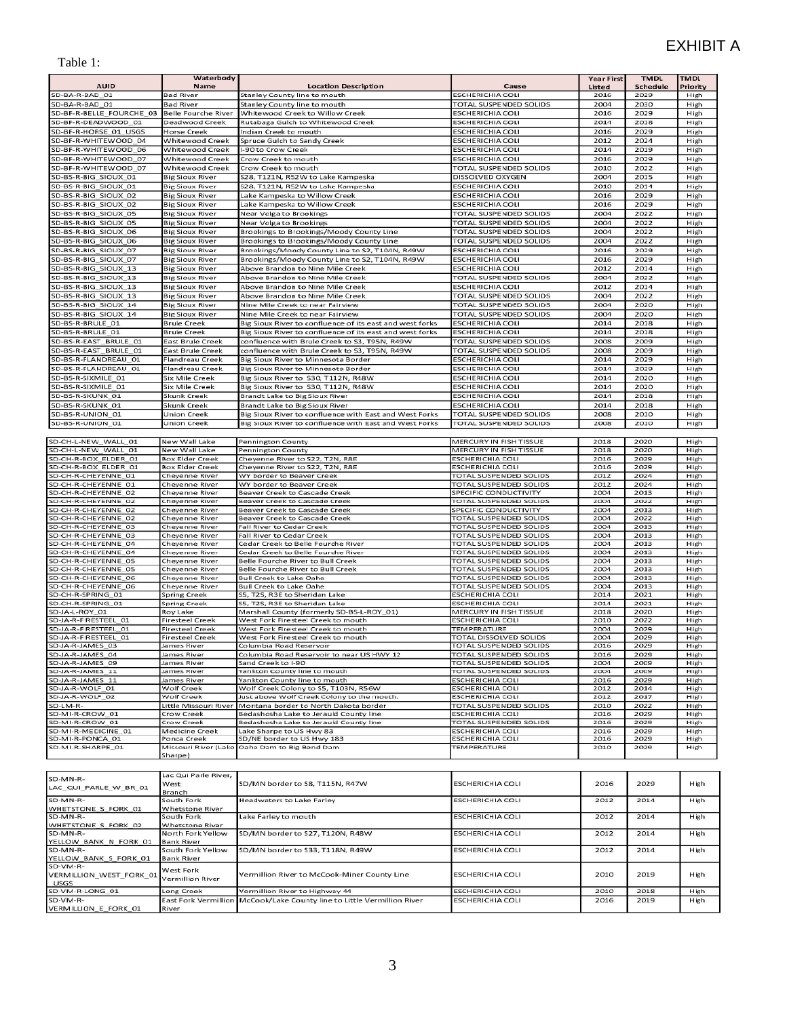#### Table 1:

|                                            | Waterbody                          |                                                                            |                                                   | <b>Year First</b> | <b>TMDL</b>  | <b>TMDL</b>  |
|--------------------------------------------|------------------------------------|----------------------------------------------------------------------------|---------------------------------------------------|-------------------|--------------|--------------|
| <b>AUID</b>                                | Name                               | <b>Location Description</b>                                                | Cause                                             | Listed            | Schedule     | Priority     |
| SD-BA-R-BAD 01                             | <b>Bad River</b>                   | Stanley County line to mouth                                               | <b>ESCHERICHIA COLI</b>                           | 2016              | 2029         | High         |
| SD-BA-R-BAD_01                             | <b>Bad River</b>                   | Stanley County line to mouth                                               | TOTAL SUSPENDED SOLIDS                            | 2004              | 2030         | High         |
| SD-BF-R-BELLE FOURCHE 03                   | <b>Belle Fourche River</b>         | Whitewood Creek to Willow Creek                                            | <b>ESCHERICHIA COLI</b>                           | 2016              | 2029         | High         |
| SD-BF-R-DEADWOOD 01                        | Deadwood Creek                     | Rutabaga Gulch to Whitewood Creek                                          | <b>ESCHERICHIA COLI</b>                           | 2014              | 2018         | High         |
| SD-BF-R-HORSE 01 USGS                      | <b>Horse Creek</b>                 | Indian Creek to mouth                                                      | <b>ESCHERICHIA COLI</b>                           | 2016              | 2029         | High         |
| SD-BF-R-WHITEWOOD 04                       | Whitewood Creek                    | Spruce Gulch to Sandy Creek                                                | <b>ESCHERICHIA COLI</b>                           | 2012              | 2024         | High         |
| SD-BF-R-WHITEWOOD 06                       | Whitewood Creek                    | I-90 to Crow Creek                                                         | <b>ESCHERICHIA COLI</b>                           | 2014              | 2019         | High         |
| SD-BF-R-WHITEWOOD 07                       | Whitewood Creek                    | Crow Creek to mouth                                                        | <b>ESCHERICHIA COLI</b>                           | 2016              | 2029         | High         |
| SD-BF-R-WHITEWOOD_07                       | Whitewood Creek                    | Crow Creek to mouth                                                        | TOTAL SUSPENDED SOLIDS                            | 2010              | 2022         | High         |
| SD-BS-R-BIG_SIOUX_01                       | <b>Big Sioux River</b>             | S28, T121N, R52W to Lake Kampeska                                          | DISSOLVED OXYGEN                                  | 2004              | 2015         | High         |
| SD-BS-R-BIG SIOUX 01                       | <b>Big Sioux River</b>             | S28, T121N, R52W to Lake Kampeska                                          | <b>ESCHERICHIA COLI</b>                           | 2010              | 2014         | High         |
| SD-BS-R-BIG SIOUX 02                       | <b>Big Sioux River</b>             | Lake Kampeska to Willow Creek                                              | <b>ESCHERICHIA COLI</b>                           | 2016              | 2029         | High         |
| SD-BS-R-BIG SIOUX 02                       | <b>Big Sioux River</b>             | Lake Kampeska to Willow Creek                                              | <b>ESCHERICHIA COLI</b>                           | 2016              | 2029         | High         |
| SD-BS-R-BIG SIOUX 05                       | <b>Big Sioux River</b>             | Near Volga to Brookings                                                    | TOTAL SUSPENDED SOLIDS                            | 2004              | 2022         | High         |
| SD-BS-R-BIG SIOUX 05                       | <b>Big Sioux River</b>             | Near Volga to Brookings                                                    | TOTAL SUSPENDED SOLIDS                            | 2004              | 2022         | High         |
| SD-BS-R-BIG SIOUX 06                       | <b>Big Sioux River</b>             | Brookings to Brookings/Moody County Line                                   | <b>TOTAL SUSPENDED SOLIDS</b>                     | 2004              | 2022         | High         |
| SD-BS-R-BIG SIOUX 06                       | <b>Big Sioux River</b>             | Brookings to Brookings/Moody County Line                                   | TOTAL SUSPENDED SOLIDS                            | 2004              | 2022         | High         |
| SD-BS-R-BIG SIOUX 07                       | <b>Big Sioux River</b>             | Brookings/Moody County Line to S2, T104N, R49W                             | <b>ESCHERICHIA COLI</b>                           | 2016              | 2029         | High         |
| SD-BS-R-BIG_SIOUX_07                       | <b>Big Sioux River</b>             | Brookings/Moody County Line to S2, T104N, R49W                             | ESCHERICHIA COLI                                  | 2016              | 2029         | High         |
| SD-BS-R-BIG_SIOUX_13                       | <b>Big Sioux River</b>             | Above Brandon to Nine Mile Creek                                           | <b>ESCHERICHIA COLI</b>                           | 2012              | 2014         | High         |
| SD-BS-R-BIG_SIOUX_13                       | <b>Big Sioux River</b>             | Above Brandon to Nine Mile Creek                                           | <b>TOTAL SUSPENDED SOLIDS</b>                     | 2004              | 2022         | High         |
| SD-BS-R-BIG_SIOUX_13                       | <b>Big Sioux River</b>             | Above Brandon to Nine Mile Creek                                           | <b>ESCHERICHIA COLI</b>                           | 2012              | 2014         | High         |
| SD-BS-R-BIG SIOUX 13                       | <b>Big Sioux River</b>             | Above Brandon to Nine Mile Creek                                           | TOTAL SUSPENDED SOLIDS                            | 2004              | 2022         | High         |
| SD-BS-R-BIG SIOUX 14                       | <b>Big Sioux River</b>             | Nine Mile Creek to near Fairview                                           | <b>TOTAL SUSPENDED SOLIDS</b>                     | 2004              | 2020         | High         |
| SD-BS-R-BIG SIOUX 14                       | <b>Big Sioux River</b>             | Nine Mile Creek to near Fairview                                           | TOTAL SUSPENDED SOLIDS                            | 2004              | 2020         | High         |
| SD-BS-R-BRULE 01                           | <b>Brule Creek</b>                 | Big Sioux River to confluence of its east and west forks                   | <b>ESCHERICHIA COLI</b>                           | 2014              | 2018         | High         |
| SD-BS-R-BRULE 01                           | <b>Brule Creek</b>                 | Big Sioux River to confluence of its east and west forks                   | <b>ESCHERICHIA COLI</b>                           | 2014              | 2018         | High         |
| SD-BS-R-EAST BRULE 01                      | <b>East Brule Creek</b>            | confluence with Brule Creek to S3, T95N, R49W                              | TOTAL SUSPENDED SOLIDS                            | 2008              | 2009         | High         |
| SD-BS-R-EAST_BRULE_01                      | <b>East Brule Creek</b>            | confluence with Brule Creek to S3, T95N, R49W                              | TOTAL SUSPENDED SOLIDS                            | 2008              | 2009         | High         |
| SD-BS-R-FLANDREAU_01                       | Flandreau Creek                    | Big Sioux River to Minnesota Border                                        | <b>ESCHERICHIA COLI</b>                           | 2014              | 2029         | High         |
| SD-BS-R-FLANDREAU 01                       | Flandreau Creek                    | Big Sioux River to Minnesota Border                                        | <b>ESCHERICHIA COLI</b>                           | 2014              | 2029         | High         |
| SD-BS-R-SIXMILE 01                         | Six Mile Creek                     | Big Sioux River to S30, T112N, R48W                                        | <b>ESCHERICHIA COLI</b>                           | 2014              | 2020         | High         |
| SD-BS-R-SIXMILE 01                         | Six Mile Creek                     | Big Sioux River to S30, T112N, R48W                                        | <b>ESCHERICHIA COLI</b>                           | 2014              | 2020         | High         |
| SD-BS-R-SKUNK 01                           | Skunk Creek                        | Brandt Lake to Big Sioux River                                             | <b>ESCHERICHIA COLI</b>                           | 2014              | 2018         | High         |
| SD-BS-R-SKUNK_01                           | Skunk Creek                        | Brandt Lake to Big Sioux River                                             | <b>ESCHERICHIA COLI</b>                           | 2014              | 2018         | High         |
| SD-BS-R-UNION 01                           | <b>Union Creek</b>                 | Big Sioux River to confluence with East and West Forks                     | <b>TOTAL SUSPENDED SOLIDS</b>                     | 2008              | 2010         | High         |
| SD-BS-R-UNION 01                           | Union Creek                        | Big Sioux River to confluence with East and West Forks                     | TOTAL SUSPENDED SOLIDS                            | 2008              | 2010         | High         |
|                                            |                                    |                                                                            |                                                   |                   |              |              |
| SD-CH-L-NEW_WALL_01                        | New Wall Lake                      | Pennington County                                                          | MERCURY IN FISH TISSUE                            | 2018              | 2020         | High         |
| SD-CH-L-NEW_WALL_01                        | New Wall Lake                      | Pennington County                                                          | MERCURY IN FISH TISSUE                            | 2018              | 2020         | High         |
| SD-CH-R-BOX ELDER 01                       | <b>Box Elder Creek</b>             | Cheyenne River to S22, T2N, R8E                                            | <b>ESCHERICHIA COLI</b>                           | 2016              | 2029         | High         |
| SD-CH-R-BOX ELDER 01                       | <b>Box Elder Creek</b>             | Cheyenne River to S22, T2N, R8E                                            | ESCHERICHIA COLI                                  | 2016              | 2029         | High         |
| SD-CH-R-CHEYENNE 01                        | Cheyenne River                     | WY border to Beaver Creek                                                  | TOTAL SUSPENDED SOLIDS                            | 2012              | 2024         | High         |
| SD-CH-R-CHEYENNE_01<br>SD-CH-R-CHEYENNE 02 | Cheyenne River<br>Cheyenne River   | WY border to Beaver Creek<br>Beaver Creek to Cascade Creek                 | TOTAL SUSPENDED SOLIDS<br>SPECIFIC CONDUCTIVITY   | 2012<br>2004      | 2024<br>2013 | High<br>High |
| SD-CH-R-CHEYENNE 02                        | Cheyenne River                     | Beaver Creek to Cascade Creek                                              | TOTAL SUSPENDED SOLIDS                            | 2004              | 2022         | High         |
| SD-CH-R-CHEYENNE_02                        | Cheyenne River                     | <b>Beaver Creek to Cascade Creek</b>                                       | SPECIFIC CONDUCTIVITY                             | 2004              | 2013         | High         |
| SD-CH-R-CHEYENNE 02                        | Cheyenne River                     | Beaver Creek to Cascade Creek                                              | TOTAL SUSPENDED SOLIDS                            | 2004              | 2022         | High         |
| SD-CH-R-CHEYENNE 03                        | Cheyenne River                     | Fall River to Cedar Creek                                                  | TOTAL SUSPENDED SOLIDS                            | 2004              | 2013         | High         |
| SD-CH-R-CHEYENNE 03                        | Cheyenne River                     | Fall River to Cedar Creek                                                  | TOTAL SUSPENDED SOLIDS                            | 2004              | 2013         | High         |
| SD-CH-R-CHEYENNE 04                        | Cheyenne River                     | Cedar Creek to Belle Fourche River                                         | TOTAL SUSPENDED SOLIDS                            | 2004              | 2013         | High         |
| SD-CH-R-CHEYENNE_04                        | Cheyenne River                     | Cedar Creek to Belle Fourche River                                         | TOTAL SUSPENDED SOLIDS                            | 2004              | 2013         | High         |
| SD-CH-R-CHEYENNE 05                        | Cheyenne River                     | Belle Fourche River to Bull Creek                                          | TOTAL SUSPENDED SOLIDS                            | 2004              | 2013         | High         |
| SD-CH-R-CHEYENNE 05                        | Cheyenne River                     | Belle Fourche River to Bull Creek                                          | TOTAL SUSPENDED SOLIDS                            | 2004              | 2013         | High         |
| SD-CH-R-CHEYENNE 06                        | Cheyenne River                     | <b>Bull Creek to Lake Oahe</b>                                             | TOTAL SUSPENDED SOLIDS                            | 2004              | 2013         | High         |
| SD-CH-R-CHEYENNE_06                        | Cheyenne River                     | <b>Bull Creek to Lake Oahe</b>                                             | TOTAL SUSPENDED SOLIDS                            | 2004              | 2013         | High         |
| SD-CH-R-SPRING 01                          | <b>Spring Creek</b>                | S5, T2S, R3E to Sheridan Lake                                              | <b>ESCHERICHIA COLI</b>                           | 2014              | 2021         | High         |
| SD-CH-R-SPRING_01<br>SD-JA-L-ROY 01        | Spring Creek                       | S5, T2S, R3E to Sheridan Lake<br>Marshall County (formerly SD-BS-L-ROY_01) | ESCHERICHIA COLI                                  | 2014              | 2021         | High         |
| SD-JA-R-FIRESTEEL 01                       | Roy Lake<br><b>Firesteel Creek</b> | West Fork Firesteel Creek to mouth                                         | MERCURY IN FISH TISSUE<br><b>ESCHERICHIA COLI</b> | 2018<br>2010      | 2020<br>2022 | High         |
| SD-JA-R-FIRESTEEL 01                       | Firesteel Creek                    | West Fork Firesteel Creek to mouth                                         | TEMPERATURE                                       | 2004              | 2029         | High<br>High |
| SD-JA-R-FIRESTEEL 01                       | <b>Firesteel Creek</b>             | West Fork Firesteel Creek to mouth                                         | <b>TOTAL DISSOLVED SOLIDS</b>                     | 2004              | 2029         | High         |
| SD-JA-R-JAMES 03                           | James River                        | Columbia Road Reservoir                                                    | TOTAL SUSPENDED SOLIDS                            | 2016              | 2029         | High         |
| SD-JA-R-JAMES 04                           | James River                        | Columbia Road Reservoir to near US HWY 12                                  | TOTAL SUSPENDED SOLIDS                            | 2016              | 2029         | High         |
| SD-JA-R-JAMES 09                           | James River                        | Sand Creek to I-90                                                         | TOTAL SUSPENDED SOLIDS                            | 2004              | 2009         | High         |
| SD-JA-R-JAMES_11                           | James River                        | Yankton County line to mouth                                               | TOTAL SUSPENDED SOLIDS                            | 2004              | 2009         | High         |
| SD-JA-R-JAMES_11                           | James River                        | Yankton County line to mouth                                               | ESCHERICHIA COLI                                  | 2016              | 2029         | High         |
| SD-JA-R-WOLF_01                            | Wolf Creek                         | Wolf Creek Colony to S5, T103N, R56W                                       | ESCHERICHIA COLI                                  | 2012              | 2014         | High         |
| SD-JA-R-WOLF_02                            | Wolf Creek                         | Just above Wolf Creek Colony to the mouth.                                 | <b>ESCHERICHIA COLI</b>                           | 2012              | 2017         | High         |
| SD-LM-R-                                   | Little Missouri River              | Montana border to North Dakota border                                      | TOTAL SUSPENDED SOLIDS                            | 2010              | 2022         | High         |
| SD-MI-R-CROW_01                            | Crow Creek                         | Bedashosha Lake to Jerauld County line                                     | ESCHERICHIA COLI                                  | 2016              | 2029         | High         |
| SD-MI-R-CROW 01                            | Crow Creek                         | Bedashosha Lake to Jerauld County line                                     | TOTAL SUSPENDED SOLIDS                            | 2016              | 2029         | High         |
| SD-MI-R-MEDICINE_01<br>SD-MI-R-PONCA_01    | Medicine Creek<br>Ponca Creek      | Lake Sharpe to US Hwy 83<br>SD/NE border to US Hwy 183                     | <b>ESCHERICHIA COLI</b><br>ESCHERICHIA COLI       | 2016<br>2016      | 2029<br>2029 | High<br>High |
| SD-MI-R-SHARPE_01                          |                                    | Missouri River (Lake Oahe Dam to Big Bend Dam                              | TEMPERATURE                                       | 2010              | 2029         | High         |
|                                            | Sharpe)                            |                                                                            |                                                   |                   |              |              |
|                                            |                                    |                                                                            |                                                   |                   |              |              |
|                                            | Lac Qui Parle River,               |                                                                            |                                                   |                   |              |              |
| SD-MN-R-                                   | West                               | SD/MN border to S8, T115N, R47W                                            | ESCHERICHIA COLI                                  | 2016              | 2029         | High         |
| LAC_QUI_PARLE_W_BR_01                      | Branch                             |                                                                            |                                                   |                   |              |              |
| SD-MN-R-                                   | South Fork                         | Headwaters to Lake Farley                                                  | ESCHERICHIA COLI                                  | 2012              | 2014         | High         |
| WHETSTONE_5_FORK_01                        | Whetstone River                    |                                                                            |                                                   |                   |              |              |
| SD-MN-R-                                   | South Fork                         | Lake Farley to mouth                                                       | ESCHERICHIA COLI                                  | 2012              | 2014         | High         |
| WHETSTONE S FORK 02                        | Whetstone River                    |                                                                            |                                                   |                   |              |              |
| SD-MN-R-                                   | North Fork Yellow                  | SD/MN border to S27, T120N, R48W                                           | ESCHERICHIA COLI                                  | 2012              | 2014         | High         |
| YELLOW BANK N FORK 01                      | Bank River                         |                                                                            |                                                   |                   |              |              |
| SD-MN-R-                                   | South Fork Yellow                  | SD/MN border to S33, T118N, R49W                                           | ESCHERICHIA COLI                                  | 2012              | 2014         | High         |
| YELLOW_BANK_S_FORK_01<br>SD-VM-R-          | <b>Bank River</b>                  |                                                                            |                                                   |                   |              |              |
| VERMILLION_WEST_FORK_01                    | West Fork                          | Vermillion River to McCook-Miner County Line                               | <b>ESCHERICHIA COLI</b>                           | 2010              | 2019         | High         |
| <b>USGS</b>                                | Vermillion River                   |                                                                            |                                                   |                   |              |              |
| SD-VM-R-LONG 01                            | Long Creek                         | Vermillion River to Highway 44                                             | <b>ESCHERICHIA COLI</b>                           | 2010              | 2018         | High         |
| SD-VM-R-                                   |                                    | East Fork Vermillion McCook/Lake County line to Little Vermillion River    | <b>ESCHERICHIA COLI</b>                           | 2016              | 2019         | High         |
| VERMILLION E FORK 01                       | River                              |                                                                            |                                                   |                   |              |              |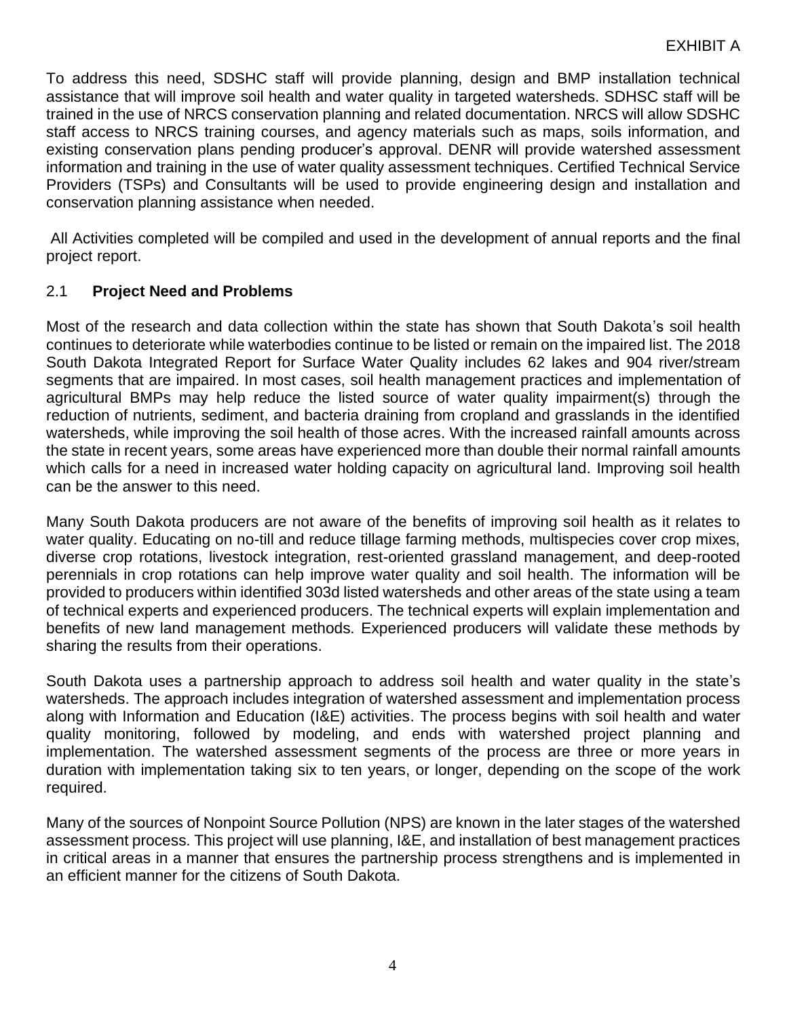To address this need, SDSHC staff will provide planning, design and BMP installation technical assistance that will improve soil health and water quality in targeted watersheds. SDHSC staff will be trained in the use of NRCS conservation planning and related documentation. NRCS will allow SDSHC staff access to NRCS training courses, and agency materials such as maps, soils information, and existing conservation plans pending producer's approval. DENR will provide watershed assessment information and training in the use of water quality assessment techniques. Certified Technical Service Providers (TSPs) and Consultants will be used to provide engineering design and installation and conservation planning assistance when needed.

All Activities completed will be compiled and used in the development of annual reports and the final project report.

## 2.1 **Project Need and Problems**

Most of the research and data collection within the state has shown that South Dakota's soil health continues to deteriorate while waterbodies continue to be listed or remain on the impaired list. The 2018 South Dakota Integrated Report for Surface Water Quality includes 62 lakes and 904 river/stream segments that are impaired. In most cases, soil health management practices and implementation of agricultural BMPs may help reduce the listed source of water quality impairment(s) through the reduction of nutrients, sediment, and bacteria draining from cropland and grasslands in the identified watersheds, while improving the soil health of those acres. With the increased rainfall amounts across the state in recent years, some areas have experienced more than double their normal rainfall amounts which calls for a need in increased water holding capacity on agricultural land. Improving soil health can be the answer to this need.

Many South Dakota producers are not aware of the benefits of improving soil health as it relates to water quality. Educating on no-till and reduce tillage farming methods, multispecies cover crop mixes, diverse crop rotations, livestock integration, rest-oriented grassland management, and deep-rooted perennials in crop rotations can help improve water quality and soil health. The information will be provided to producers within identified 303d listed watersheds and other areas of the state using a team of technical experts and experienced producers. The technical experts will explain implementation and benefits of new land management methods. Experienced producers will validate these methods by sharing the results from their operations.

South Dakota uses a partnership approach to address soil health and water quality in the state's watersheds. The approach includes integration of watershed assessment and implementation process along with Information and Education (I&E) activities. The process begins with soil health and water quality monitoring, followed by modeling, and ends with watershed project planning and implementation. The watershed assessment segments of the process are three or more years in duration with implementation taking six to ten years, or longer, depending on the scope of the work required.

Many of the sources of Nonpoint Source Pollution (NPS) are known in the later stages of the watershed assessment process. This project will use planning, I&E, and installation of best management practices in critical areas in a manner that ensures the partnership process strengthens and is implemented in an efficient manner for the citizens of South Dakota.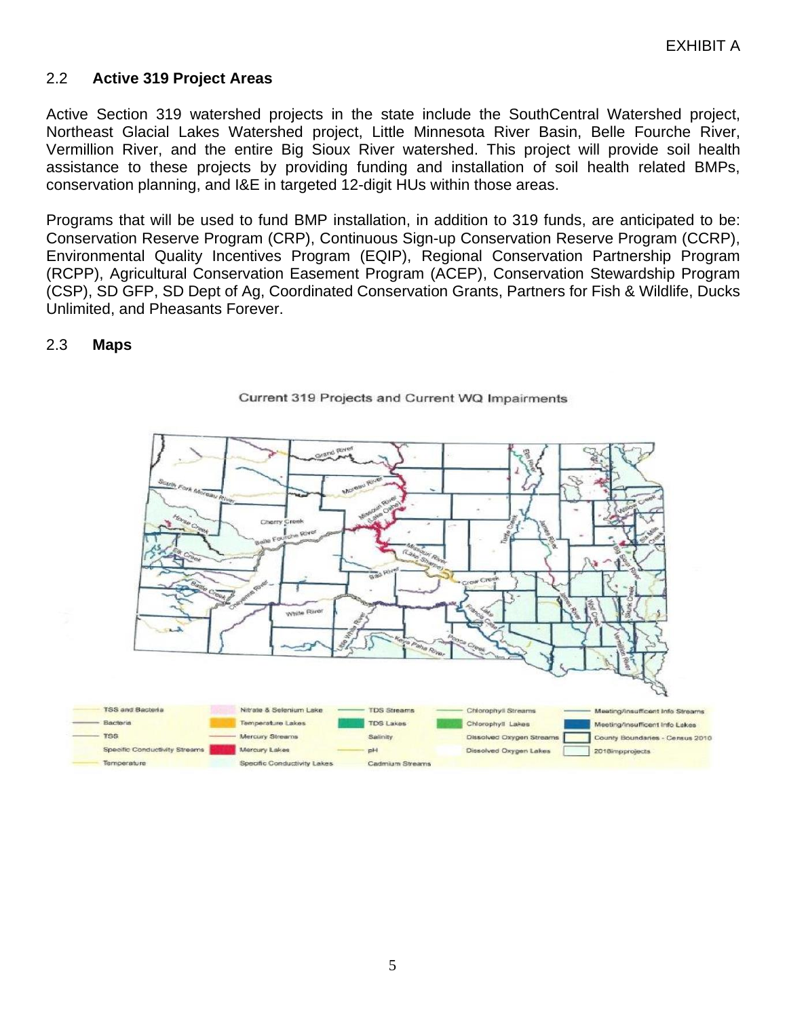#### 2.2 **Active 319 Project Areas**

Active Section 319 watershed projects in the state include the SouthCentral Watershed project, Northeast Glacial Lakes Watershed project, Little Minnesota River Basin, Belle Fourche River, Vermillion River, and the entire Big Sioux River watershed. This project will provide soil health assistance to these projects by providing funding and installation of soil health related BMPs, conservation planning, and I&E in targeted 12-digit HUs within those areas.

Programs that will be used to fund BMP installation, in addition to 319 funds, are anticipated to be: Conservation Reserve Program (CRP), Continuous Sign-up Conservation Reserve Program (CCRP), Environmental Quality Incentives Program (EQIP), Regional Conservation Partnership Program (RCPP), Agricultural Conservation Easement Program (ACEP), Conservation Stewardship Program (CSP), SD GFP, SD Dept of Ag, Coordinated Conservation Grants, Partners for Fish & Wildlife, Ducks Unlimited, and Pheasants Forever.

#### 2.3 **Maps**



#### Current 319 Projects and Current WQ Impairments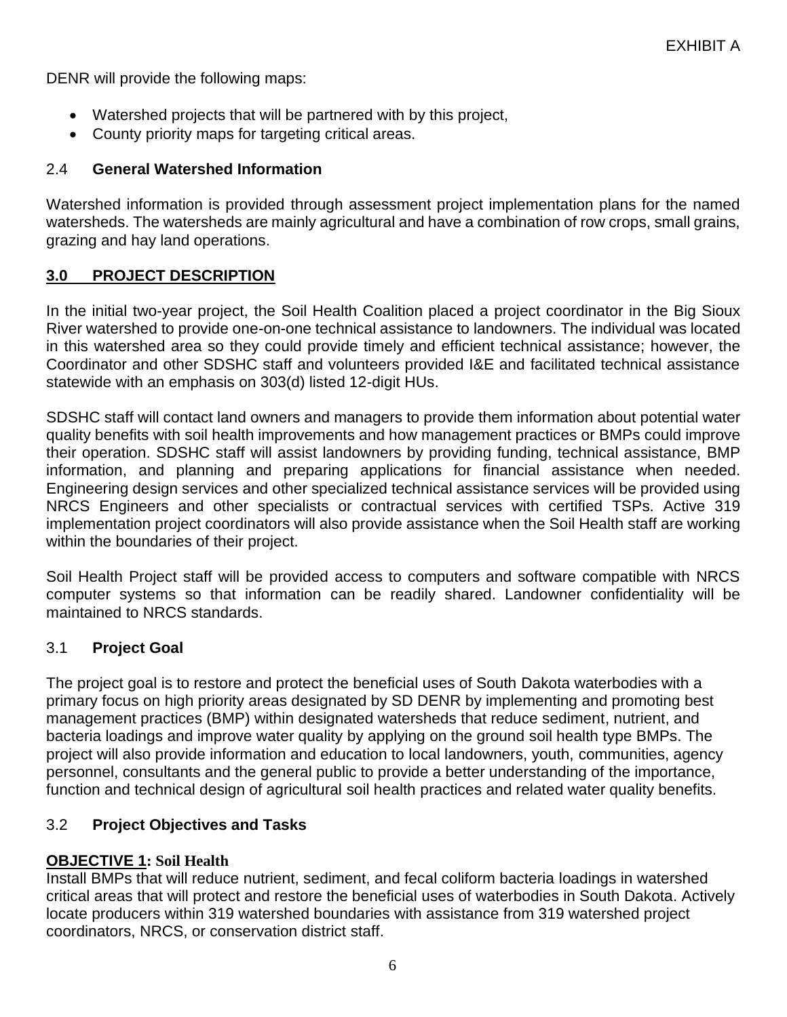DENR will provide the following maps:

- Watershed projects that will be partnered with by this project,
- County priority maps for targeting critical areas.

## 2.4 **General Watershed Information**

Watershed information is provided through assessment project implementation plans for the named watersheds. The watersheds are mainly agricultural and have a combination of row crops, small grains, grazing and hay land operations.

## **3.0 PROJECT DESCRIPTION**

In the initial two-year project, the Soil Health Coalition placed a project coordinator in the Big Sioux River watershed to provide one-on-one technical assistance to landowners. The individual was located in this watershed area so they could provide timely and efficient technical assistance; however, the Coordinator and other SDSHC staff and volunteers provided I&E and facilitated technical assistance statewide with an emphasis on 303(d) listed 12-digit HUs.

SDSHC staff will contact land owners and managers to provide them information about potential water quality benefits with soil health improvements and how management practices or BMPs could improve their operation. SDSHC staff will assist landowners by providing funding, technical assistance, BMP information, and planning and preparing applications for financial assistance when needed. Engineering design services and other specialized technical assistance services will be provided using NRCS Engineers and other specialists or contractual services with certified TSPs. Active 319 implementation project coordinators will also provide assistance when the Soil Health staff are working within the boundaries of their project.

Soil Health Project staff will be provided access to computers and software compatible with NRCS computer systems so that information can be readily shared. Landowner confidentiality will be maintained to NRCS standards.

### 3.1 **Project Goal**

The project goal is to restore and protect the beneficial uses of South Dakota waterbodies with a primary focus on high priority areas designated by SD DENR by implementing and promoting best management practices (BMP) within designated watersheds that reduce sediment, nutrient, and bacteria loadings and improve water quality by applying on the ground soil health type BMPs. The project will also provide information and education to local landowners, youth, communities, agency personnel, consultants and the general public to provide a better understanding of the importance, function and technical design of agricultural soil health practices and related water quality benefits.

# 3.2 **Project Objectives and Tasks**

# **OBJECTIVE 1: Soil Health**

Install BMPs that will reduce nutrient, sediment, and fecal coliform bacteria loadings in watershed critical areas that will protect and restore the beneficial uses of waterbodies in South Dakota. Actively locate producers within 319 watershed boundaries with assistance from 319 watershed project coordinators, NRCS, or conservation district staff.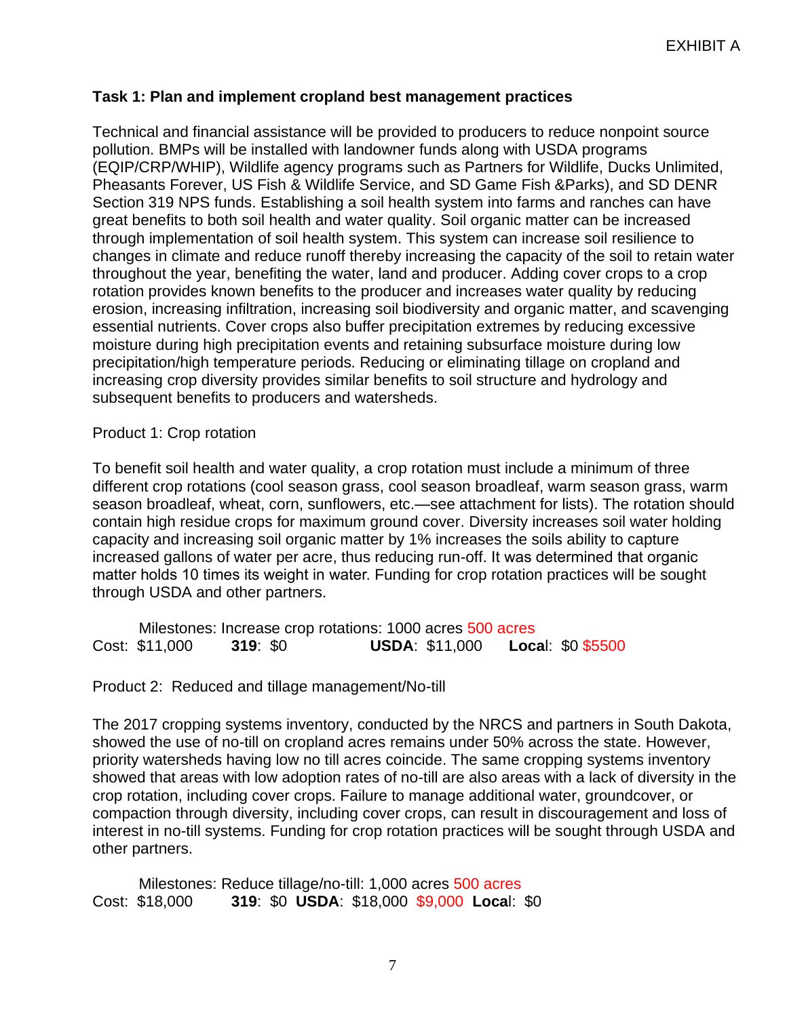### **Task 1: Plan and implement cropland best management practices**

Technical and financial assistance will be provided to producers to reduce nonpoint source pollution. BMPs will be installed with landowner funds along with USDA programs (EQIP/CRP/WHIP), Wildlife agency programs such as Partners for Wildlife, Ducks Unlimited, Pheasants Forever, US Fish & Wildlife Service, and SD Game Fish &Parks), and SD DENR Section 319 NPS funds. Establishing a soil health system into farms and ranches can have great benefits to both soil health and water quality. Soil organic matter can be increased through implementation of soil health system. This system can increase soil resilience to changes in climate and reduce runoff thereby increasing the capacity of the soil to retain water throughout the year, benefiting the water, land and producer. Adding cover crops to a crop rotation provides known benefits to the producer and increases water quality by reducing erosion, increasing infiltration, increasing soil biodiversity and organic matter, and scavenging essential nutrients. Cover crops also buffer precipitation extremes by reducing excessive moisture during high precipitation events and retaining subsurface moisture during low precipitation/high temperature periods. Reducing or eliminating tillage on cropland and increasing crop diversity provides similar benefits to soil structure and hydrology and subsequent benefits to producers and watersheds.

#### Product 1: Crop rotation

To benefit soil health and water quality, a crop rotation must include a minimum of three different crop rotations (cool season grass, cool season broadleaf, warm season grass, warm season broadleaf, wheat, corn, sunflowers, etc.—see attachment for lists). The rotation should contain high residue crops for maximum ground cover. Diversity increases soil water holding capacity and increasing soil organic matter by 1% increases the soils ability to capture increased gallons of water per acre, thus reducing run-off. It was determined that organic matter holds 10 times its weight in water. Funding for crop rotation practices will be sought through USDA and other partners.

Milestones: Increase crop rotations: 1000 acres 500 acres Cost: \$11,000 **319**: \$0 **USDA**: \$11,000 **Loca**l: \$0 \$5500

Product 2: Reduced and tillage management/No-till

The 2017 cropping systems inventory, conducted by the NRCS and partners in South Dakota, showed the use of no-till on cropland acres remains under 50% across the state. However, priority watersheds having low no till acres coincide. The same cropping systems inventory showed that areas with low adoption rates of no-till are also areas with a lack of diversity in the crop rotation, including cover crops. Failure to manage additional water, groundcover, or compaction through diversity, including cover crops, can result in discouragement and loss of interest in no-till systems. Funding for crop rotation practices will be sought through USDA and other partners.

Milestones: Reduce tillage/no-till: 1,000 acres 500 acres Cost: \$18,000 **319**: \$0 **USDA**: \$18,000 \$9,000 **Loca**l: \$0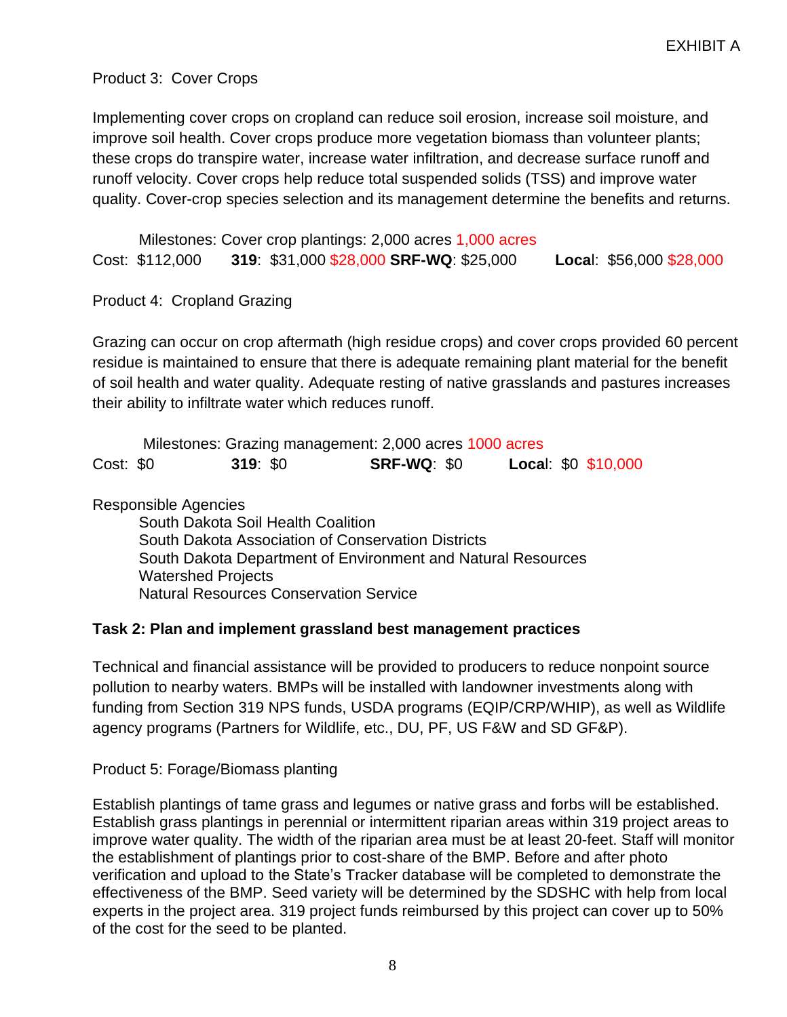### Product 3: Cover Crops

Implementing cover crops on cropland can reduce soil erosion, increase soil moisture, and improve soil health. Cover crops produce more vegetation biomass than volunteer plants; these crops do transpire water, increase water infiltration, and decrease surface runoff and runoff velocity. Cover crops help reduce total suspended solids (TSS) and improve water quality. Cover-crop species selection and its management determine the benefits and returns.

Milestones: Cover crop plantings: 2,000 acres 1,000 acres Cost: \$112,000 **319**: \$31,000 \$28,000 **SRF-WQ**: \$25,000 **Loca**l: \$56,000 \$28,000

Product 4: Cropland Grazing

Grazing can occur on crop aftermath (high residue crops) and cover crops provided 60 percent residue is maintained to ensure that there is adequate remaining plant material for the benefit of soil health and water quality. Adequate resting of native grasslands and pastures increases their ability to infiltrate water which reduces runoff.

Milestones: Grazing management: 2,000 acres 1000 acres Cost: \$0 **319**: \$0 **SRF-WQ**: \$0 **Loca**l: \$0 \$10,000

Responsible Agencies

South Dakota Soil Health Coalition South Dakota Association of Conservation Districts South Dakota Department of Environment and Natural Resources Watershed Projects Natural Resources Conservation Service

#### **Task 2: Plan and implement grassland best management practices**

Technical and financial assistance will be provided to producers to reduce nonpoint source pollution to nearby waters. BMPs will be installed with landowner investments along with funding from Section 319 NPS funds, USDA programs (EQIP/CRP/WHIP), as well as Wildlife agency programs (Partners for Wildlife, etc., DU, PF, US F&W and SD GF&P).

Product 5: Forage/Biomass planting

Establish plantings of tame grass and legumes or native grass and forbs will be established. Establish grass plantings in perennial or intermittent riparian areas within 319 project areas to improve water quality. The width of the riparian area must be at least 20-feet. Staff will monitor the establishment of plantings prior to cost-share of the BMP. Before and after photo verification and upload to the State's Tracker database will be completed to demonstrate the effectiveness of the BMP. Seed variety will be determined by the SDSHC with help from local experts in the project area. 319 project funds reimbursed by this project can cover up to 50% of the cost for the seed to be planted.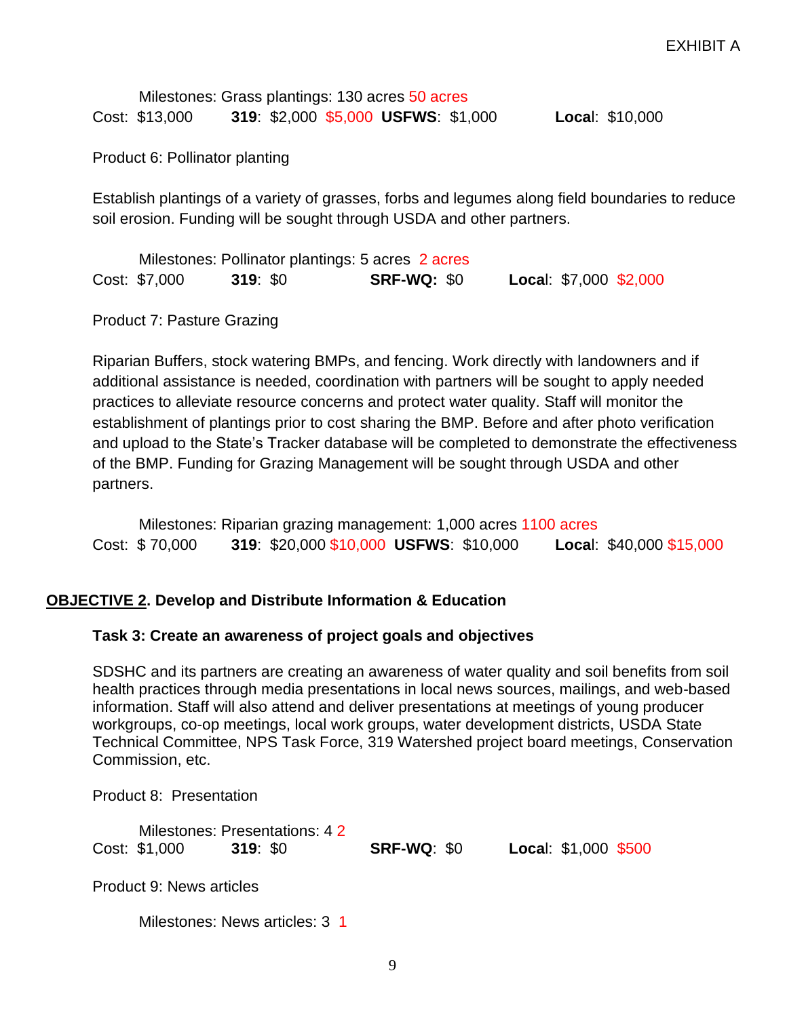|                |  | Milestones: Grass plantings: 130 acres 50 acres |                 |
|----------------|--|-------------------------------------------------|-----------------|
| Cost: \$13,000 |  | 319: \$2,000 \$5,000 USFWS: \$1,000             | Local: \$10,000 |

Product 6: Pollinator planting

Establish plantings of a variety of grasses, forbs and legumes along field boundaries to reduce soil erosion. Funding will be sought through USDA and other partners.

|               | Milestones: Pollinator plantings: 5 acres 2 acres |                    |                        |
|---------------|---------------------------------------------------|--------------------|------------------------|
| Cost: \$7,000 | 319: \$0                                          | <b>SRF-WQ: \$0</b> | Local: \$7,000 \$2,000 |

Product 7: Pasture Grazing

Riparian Buffers, stock watering BMPs, and fencing. Work directly with landowners and if additional assistance is needed, coordination with partners will be sought to apply needed practices to alleviate resource concerns and protect water quality. Staff will monitor the establishment of plantings prior to cost sharing the BMP. Before and after photo verification and upload to the State's Tracker database will be completed to demonstrate the effectiveness of the BMP. Funding for Grazing Management will be sought through USDA and other partners.

Milestones: Riparian grazing management: 1,000 acres 1100 acres Cost: \$ 70,000 **319**: \$20,000 \$10,000 **USFWS**: \$10,000 **Loca**l: \$40,000 \$15,000

#### **OBJECTIVE 2. Develop and Distribute Information & Education**

#### **Task 3: Create an awareness of project goals and objectives**

SDSHC and its partners are creating an awareness of water quality and soil benefits from soil health practices through media presentations in local news sources, mailings, and web-based information. Staff will also attend and deliver presentations at meetings of young producer workgroups, co-op meetings, local work groups, water development districts, USDA State Technical Committee, NPS Task Force, 319 Watershed project board meetings, Conservation Commission, etc.

Product 8: Presentation

|               | Milestones: Presentations: 42 |                    |                      |  |
|---------------|-------------------------------|--------------------|----------------------|--|
| Cost: \$1,000 | 319: \$0                      | <b>SRF-WQ: \$0</b> | Local: \$1,000 \$500 |  |

Product 9: News articles

Milestones: News articles: 3 1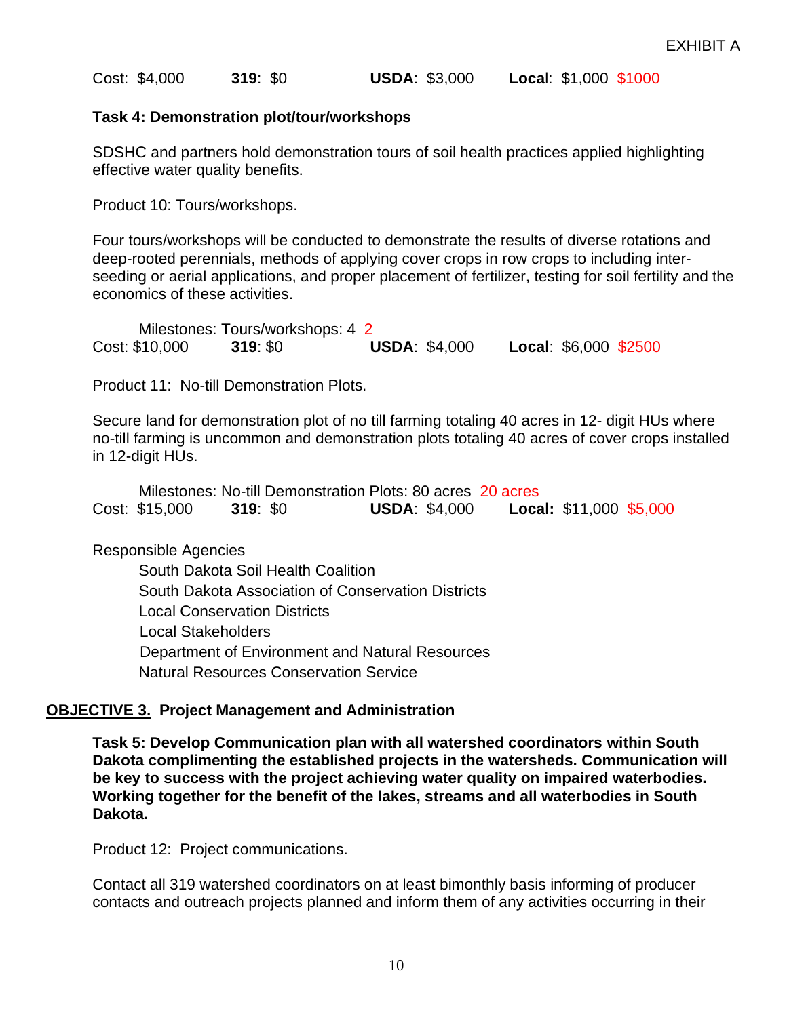Cost: \$4,000 **319**: \$0 **USDA**: \$3,000 **Loca**l: \$1,000 \$1000

#### **Task 4: Demonstration plot/tour/workshops**

SDSHC and partners hold demonstration tours of soil health practices applied highlighting effective water quality benefits.

Product 10: Tours/workshops.

Four tours/workshops will be conducted to demonstrate the results of diverse rotations and deep-rooted perennials, methods of applying cover crops in row crops to including interseeding or aerial applications, and proper placement of fertilizer, testing for soil fertility and the economics of these activities.

Milestones: Tours/workshops: 4 2 Cost: \$10,000 **319**: \$0 **USDA**: \$4,000 **Local**: \$6,000 \$2500

Product 11: No-till Demonstration Plots.

Secure land for demonstration plot of no till farming totaling 40 acres in 12- digit HUs where no-till farming is uncommon and demonstration plots totaling 40 acres of cover crops installed in 12-digit HUs.

|                |          | Milestones: No-till Demonstration Plots: 80 acres 20 acres |                                |  |
|----------------|----------|------------------------------------------------------------|--------------------------------|--|
| Cost: \$15,000 | 319: \$0 | <b>USDA: \$4,000</b>                                       | <b>Local: \$11,000 \$5,000</b> |  |

Responsible Agencies

South Dakota Soil Health Coalition South Dakota Association of Conservation Districts Local Conservation Districts Local Stakeholders Department of Environment and Natural Resources Natural Resources Conservation Service

#### **OBJECTIVE 3. Project Management and Administration**

**Task 5: Develop Communication plan with all watershed coordinators within South Dakota complimenting the established projects in the watersheds. Communication will be key to success with the project achieving water quality on impaired waterbodies. Working together for the benefit of the lakes, streams and all waterbodies in South Dakota.** 

Product 12: Project communications.

Contact all 319 watershed coordinators on at least bimonthly basis informing of producer contacts and outreach projects planned and inform them of any activities occurring in their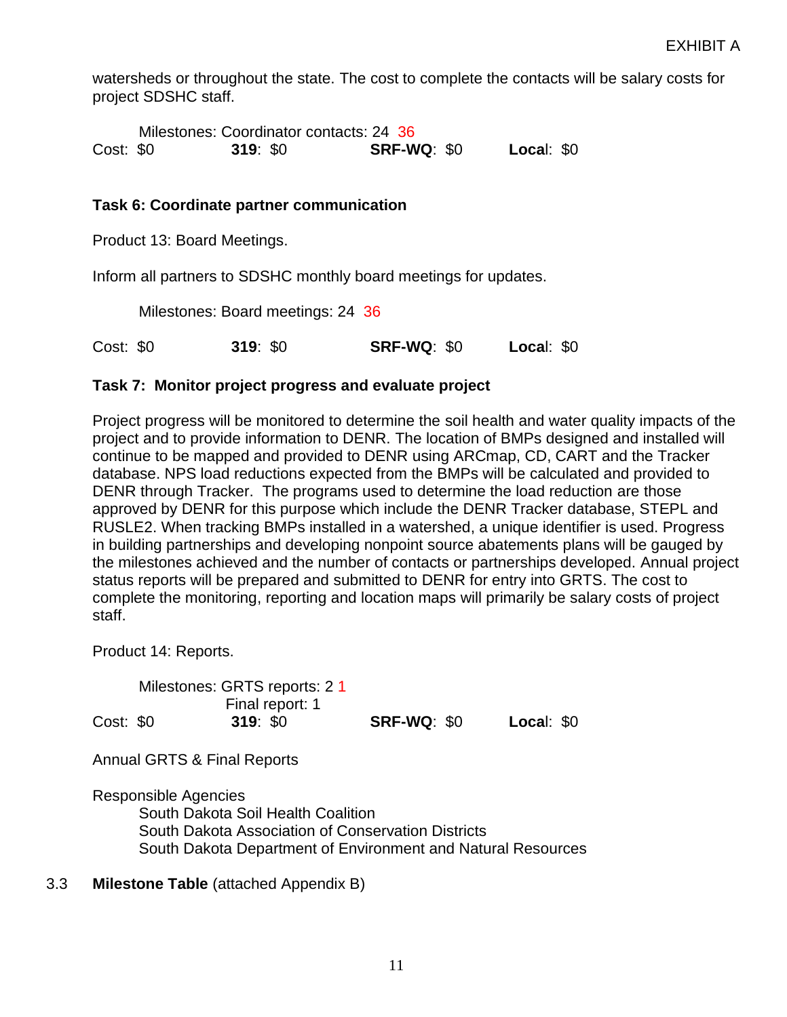watersheds or throughout the state. The cost to complete the contacts will be salary costs for project SDSHC staff.

Milestones: Coordinator contacts: 24 36 Cost: \$0 **319**: \$0 **SRF-WQ**: \$0 **Loca**l: \$0

#### **Task 6: Coordinate partner communication**

Product 13: Board Meetings.

Inform all partners to SDSHC monthly board meetings for updates.

Milestones: Board meetings: 24 36

Cost: \$0 **319**: \$0 **SRF-WQ**: \$0 **Loca**l: \$0

#### **Task 7: Monitor project progress and evaluate project**

Project progress will be monitored to determine the soil health and water quality impacts of the project and to provide information to DENR. The location of BMPs designed and installed will continue to be mapped and provided to DENR using ARCmap, CD, CART and the Tracker database. NPS load reductions expected from the BMPs will be calculated and provided to DENR through Tracker. The programs used to determine the load reduction are those approved by DENR for this purpose which include the DENR Tracker database, STEPL and RUSLE2. When tracking BMPs installed in a watershed, a unique identifier is used. Progress in building partnerships and developing nonpoint source abatements plans will be gauged by the milestones achieved and the number of contacts or partnerships developed. Annual project status reports will be prepared and submitted to DENR for entry into GRTS. The cost to complete the monitoring, reporting and location maps will primarily be salary costs of project staff.

Product 14: Reports.

Milestones: GRTS reports: 2 1 Final report: 1 Cost: \$0 **319**: \$0 **SRF-WQ**: \$0 **Loca**l: \$0

Annual GRTS & Final Reports

Responsible Agencies South Dakota Soil Health Coalition South Dakota Association of Conservation Districts South Dakota Department of Environment and Natural Resources

3.3 **Milestone Table** (attached Appendix B)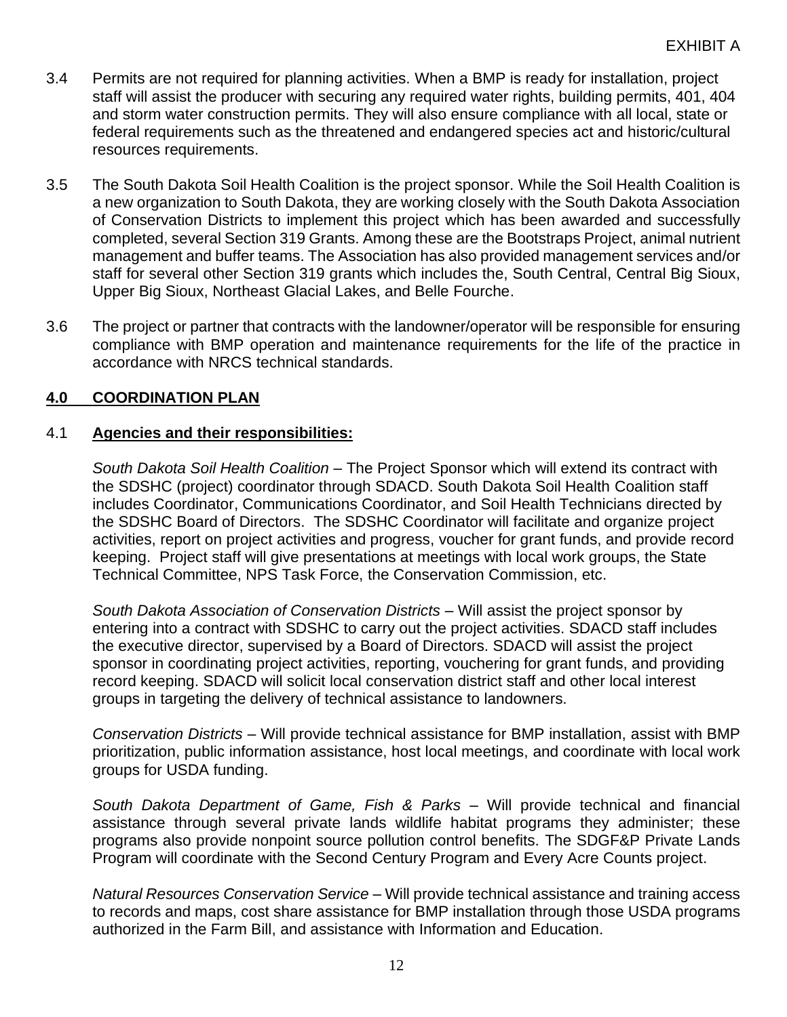- 3.4 Permits are not required for planning activities. When a BMP is ready for installation, project staff will assist the producer with securing any required water rights, building permits, 401, 404 and storm water construction permits. They will also ensure compliance with all local, state or federal requirements such as the threatened and endangered species act and historic/cultural resources requirements.
- 3.5 The South Dakota Soil Health Coalition is the project sponsor. While the Soil Health Coalition is a new organization to South Dakota, they are working closely with the South Dakota Association of Conservation Districts to implement this project which has been awarded and successfully completed, several Section 319 Grants. Among these are the Bootstraps Project, animal nutrient management and buffer teams. The Association has also provided management services and/or staff for several other Section 319 grants which includes the, South Central, Central Big Sioux, Upper Big Sioux, Northeast Glacial Lakes, and Belle Fourche.
- 3.6 The project or partner that contracts with the landowner/operator will be responsible for ensuring compliance with BMP operation and maintenance requirements for the life of the practice in accordance with NRCS technical standards.

### **4.0 COORDINATION PLAN**

#### 4.1 **Agencies and their responsibilities:**

*South Dakota Soil Health Coalition –* The Project Sponsor which will extend its contract with the SDSHC (project) coordinator through SDACD. South Dakota Soil Health Coalition staff includes Coordinator, Communications Coordinator, and Soil Health Technicians directed by the SDSHC Board of Directors. The SDSHC Coordinator will facilitate and organize project activities, report on project activities and progress, voucher for grant funds, and provide record keeping. Project staff will give presentations at meetings with local work groups, the State Technical Committee, NPS Task Force, the Conservation Commission, etc.

*South Dakota Association of Conservation Districts –* Will assist the project sponsor by entering into a contract with SDSHC to carry out the project activities. SDACD staff includes the executive director, supervised by a Board of Directors. SDACD will assist the project sponsor in coordinating project activities, reporting, vouchering for grant funds, and providing record keeping. SDACD will solicit local conservation district staff and other local interest groups in targeting the delivery of technical assistance to landowners.

*Conservation Districts* – Will provide technical assistance for BMP installation, assist with BMP prioritization, public information assistance, host local meetings, and coordinate with local work groups for USDA funding.

*South Dakota Department of Game, Fish & Parks –* Will provide technical and financial assistance through several private lands wildlife habitat programs they administer; these programs also provide nonpoint source pollution control benefits. The SDGF&P Private Lands Program will coordinate with the Second Century Program and Every Acre Counts project.

*Natural Resources Conservation Service* – Will provide technical assistance and training access to records and maps, cost share assistance for BMP installation through those USDA programs authorized in the Farm Bill, and assistance with Information and Education.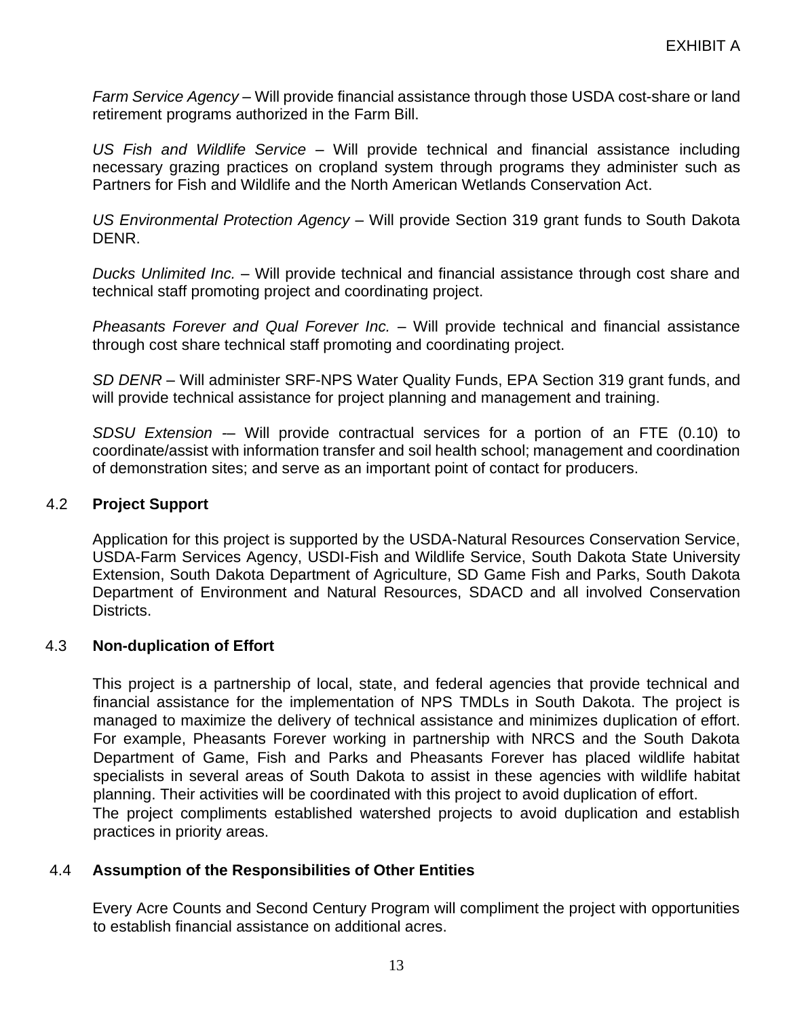*Farm Service Agency –* Will provide financial assistance through those USDA cost-share or land retirement programs authorized in the Farm Bill.

*US Fish and Wildlife Service –* Will provide technical and financial assistance including necessary grazing practices on cropland system through programs they administer such as Partners for Fish and Wildlife and the North American Wetlands Conservation Act.

*US Environmental Protection Agency –* Will provide Section 319 grant funds to South Dakota DENR.

*Ducks Unlimited Inc. –* Will provide technical and financial assistance through cost share and technical staff promoting project and coordinating project.

*Pheasants Forever and Qual Forever Inc.* – Will provide technical and financial assistance through cost share technical staff promoting and coordinating project.

*SD DENR* – Will administer SRF-NPS Water Quality Funds, EPA Section 319 grant funds, and will provide technical assistance for project planning and management and training.

*SDSU Extension -*– Will provide contractual services for a portion of an FTE (0.10) to coordinate/assist with information transfer and soil health school; management and coordination of demonstration sites; and serve as an important point of contact for producers.

#### 4.2 **Project Support**

Application for this project is supported by the USDA-Natural Resources Conservation Service, USDA-Farm Services Agency, USDI-Fish and Wildlife Service, South Dakota State University Extension, South Dakota Department of Agriculture, SD Game Fish and Parks, South Dakota Department of Environment and Natural Resources, SDACD and all involved Conservation Districts.

#### 4.3 **Non-duplication of Effort**

This project is a partnership of local, state, and federal agencies that provide technical and financial assistance for the implementation of NPS TMDLs in South Dakota. The project is managed to maximize the delivery of technical assistance and minimizes duplication of effort. For example, Pheasants Forever working in partnership with NRCS and the South Dakota Department of Game, Fish and Parks and Pheasants Forever has placed wildlife habitat specialists in several areas of South Dakota to assist in these agencies with wildlife habitat planning. Their activities will be coordinated with this project to avoid duplication of effort. The project compliments established watershed projects to avoid duplication and establish practices in priority areas.

#### 4.4 **Assumption of the Responsibilities of Other Entities**

Every Acre Counts and Second Century Program will compliment the project with opportunities to establish financial assistance on additional acres.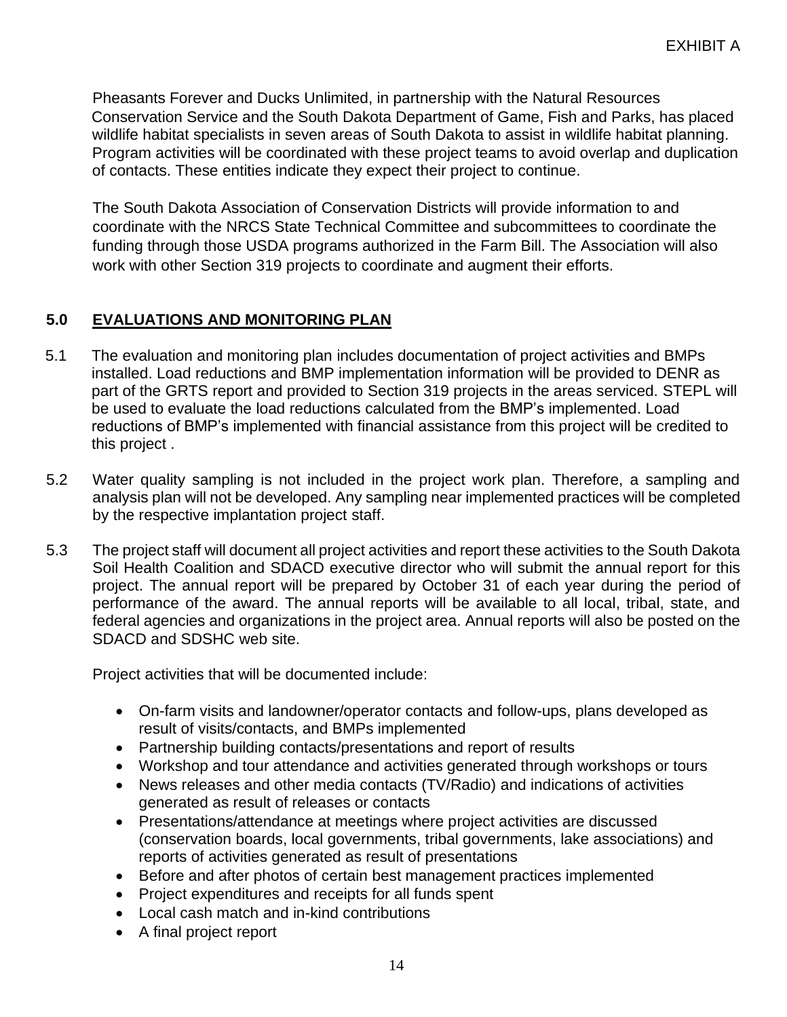Pheasants Forever and Ducks Unlimited, in partnership with the Natural Resources Conservation Service and the South Dakota Department of Game, Fish and Parks, has placed wildlife habitat specialists in seven areas of South Dakota to assist in wildlife habitat planning. Program activities will be coordinated with these project teams to avoid overlap and duplication of contacts. These entities indicate they expect their project to continue.

The South Dakota Association of Conservation Districts will provide information to and coordinate with the NRCS State Technical Committee and subcommittees to coordinate the funding through those USDA programs authorized in the Farm Bill. The Association will also work with other Section 319 projects to coordinate and augment their efforts.

### **5.0 EVALUATIONS AND MONITORING PLAN**

- 5.1 The evaluation and monitoring plan includes documentation of project activities and BMPs installed. Load reductions and BMP implementation information will be provided to DENR as part of the GRTS report and provided to Section 319 projects in the areas serviced. STEPL will be used to evaluate the load reductions calculated from the BMP's implemented. Load reductions of BMP's implemented with financial assistance from this project will be credited to this project .
- 5.2 Water quality sampling is not included in the project work plan. Therefore, a sampling and analysis plan will not be developed. Any sampling near implemented practices will be completed by the respective implantation project staff.
- 5.3 The project staff will document all project activities and report these activities to the South Dakota Soil Health Coalition and SDACD executive director who will submit the annual report for this project. The annual report will be prepared by October 31 of each year during the period of performance of the award. The annual reports will be available to all local, tribal, state, and federal agencies and organizations in the project area. Annual reports will also be posted on the SDACD and SDSHC web site.

Project activities that will be documented include:

- On-farm visits and landowner/operator contacts and follow-ups, plans developed as result of visits/contacts, and BMPs implemented
- Partnership building contacts/presentations and report of results
- Workshop and tour attendance and activities generated through workshops or tours
- News releases and other media contacts (TV/Radio) and indications of activities generated as result of releases or contacts
- Presentations/attendance at meetings where project activities are discussed (conservation boards, local governments, tribal governments, lake associations) and reports of activities generated as result of presentations
- Before and after photos of certain best management practices implemented
- Project expenditures and receipts for all funds spent
- Local cash match and in-kind contributions
- A final project report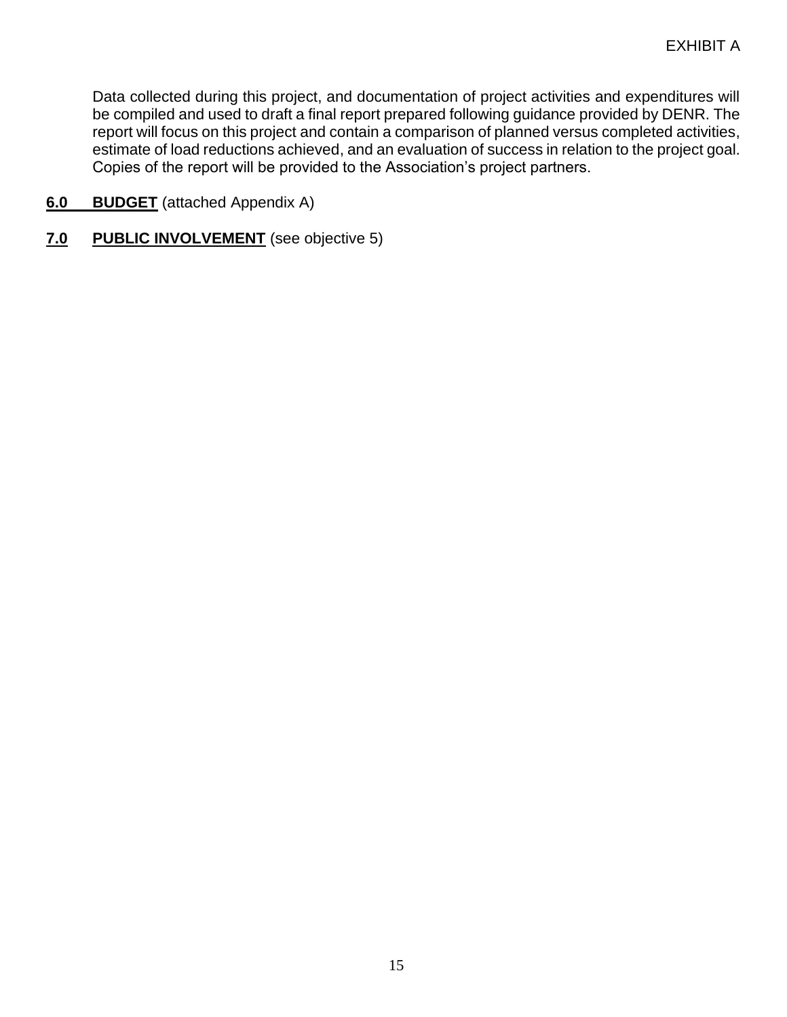Data collected during this project, and documentation of project activities and expenditures will be compiled and used to draft a final report prepared following guidance provided by DENR. The report will focus on this project and contain a comparison of planned versus completed activities, estimate of load reductions achieved, and an evaluation of success in relation to the project goal. Copies of the report will be provided to the Association's project partners.

- **6.0 BUDGET** (attached Appendix A)
- **7.0 PUBLIC INVOLVEMENT** (see objective 5)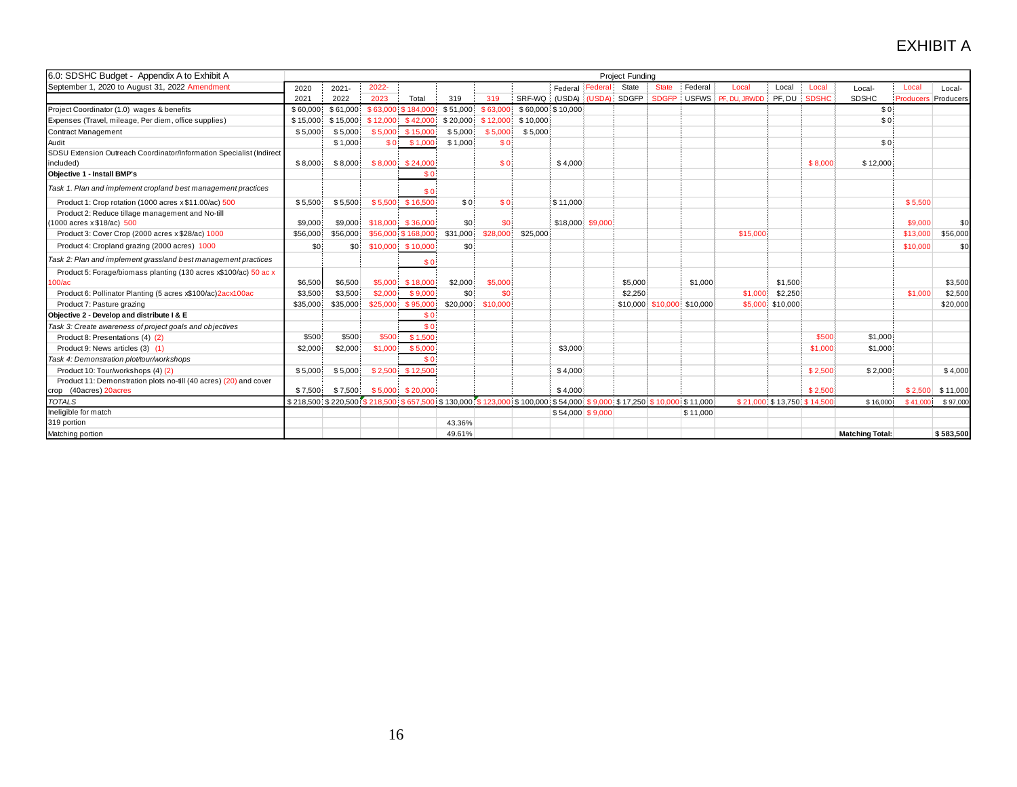| 6.0: SDSHC Budget - Appendix A to Exhibit A                          |          |                  |           |                                                                                                                              |          |                |                   |                  |         | <b>Project Funding</b> |                            |          |               |                            |              |                        |                  |           |
|----------------------------------------------------------------------|----------|------------------|-----------|------------------------------------------------------------------------------------------------------------------------------|----------|----------------|-------------------|------------------|---------|------------------------|----------------------------|----------|---------------|----------------------------|--------------|------------------------|------------------|-----------|
| September 1, 2020 to August 31, 2022 Amendment                       | 2020     | $2021 -$         | 2022-     |                                                                                                                              |          |                |                   | Federal          | Federal | State                  | <b>State</b>               | Federal  | Local         | Local                      | Local        | Local-                 | Local            | Local-    |
|                                                                      | 2021     | 2022             | 2023      | Total                                                                                                                        | 319      | 319            | SRF-WQ            | (USDA) (USDA)    |         | <b>SDGFP</b>           | <b>SDGFP</b>               | USFWS    | PF, DU, JRWDD | PF, DU                     | <b>SDSHC</b> | <b>SDSHC</b>           | <b>Producers</b> | Producers |
| Project Coordinator (1.0) wages & benefits                           | \$60,000 | \$61,000         |           | \$63,000 \$184,000                                                                                                           | \$51,000 | \$63,00        | \$60,000 \$10,000 |                  |         |                        |                            |          |               |                            |              | \$0!                   |                  |           |
| Expenses (Travel, mileage, Per diem, office supplies)                | \$15,000 | \$15,000         | \$12,000  | \$42,000                                                                                                                     | \$20,000 | \$12,000       | \$10,000          |                  |         |                        |                            |          |               |                            |              | \$0                    |                  |           |
| Contract Management                                                  | \$5,000  | \$5,000          | \$5,000   | \$15,000                                                                                                                     | \$5,000  | \$5,000        | \$5,000           |                  |         |                        |                            |          |               |                            |              |                        |                  |           |
| Audit                                                                |          | \$1,000          | <b>SO</b> | \$1,000                                                                                                                      | \$1,000  | S <sub>0</sub> |                   |                  |         |                        |                            |          |               |                            |              | \$0                    |                  |           |
| SDSU Extension Outreach Coordinator/Information Specialist (Indirect |          |                  |           |                                                                                                                              |          |                |                   |                  |         |                        |                            |          |               |                            |              |                        |                  |           |
| included)                                                            | \$8,000  | \$8,000          | \$8,000   | \$24,000                                                                                                                     |          | S <sub>O</sub> |                   | \$4.000          |         |                        |                            |          |               |                            | \$8,000      | \$12,000               |                  |           |
| <b>Objective 1 - Install BMP's</b>                                   |          |                  |           | \$0                                                                                                                          |          |                |                   |                  |         |                        |                            |          |               |                            |              |                        |                  |           |
| Task 1. Plan and implement cropland best management practices        |          |                  |           | \$0                                                                                                                          |          |                |                   |                  |         |                        |                            |          |               |                            |              |                        |                  |           |
| Product 1: Crop rotation (1000 acres x \$11.00/ac) 500               | \$5,500  | \$5,500          |           | \$5,500 \$16,500                                                                                                             | \$0:     | S <sub>0</sub> |                   | \$11,000         |         |                        |                            |          |               |                            |              |                        | \$5,500          |           |
| Product 2: Reduce tillage management and No-till                     |          |                  |           |                                                                                                                              |          |                |                   |                  |         |                        |                            |          |               |                            |              |                        |                  |           |
| 1000 acres x \$18/ac) 500                                            | \$9,000  | \$9,000          |           | $$18,000$ $$36,000$                                                                                                          | \$0      | \$0            |                   | \$18,000 \$9,000 |         |                        |                            |          |               |                            |              |                        | \$9,000          | \$0       |
| Product 3: Cover Crop (2000 acres x \$28/ac) 1000                    | \$56,000 | \$56,000         |           | \$56,000 \$168,000                                                                                                           | \$31,000 | \$28,000       | \$25,000          |                  |         |                        |                            |          | \$15,000      |                            |              |                        | \$13,000         | \$56,000  |
| Product 4: Cropland grazing (2000 acres) 1000                        | \$0      | \$0 <sub>1</sub> |           | \$10,000 \$10,000                                                                                                            | \$0      |                |                   |                  |         |                        |                            |          |               |                            |              |                        | \$10,000         | \$0       |
| Task 2: Plan and implement grassland best management practices       |          |                  |           | \$0                                                                                                                          |          |                |                   |                  |         |                        |                            |          |               |                            |              |                        |                  |           |
| Product 5: Forage/biomass planting (130 acres x\$100/ac) 50 ac x     |          |                  |           |                                                                                                                              |          |                |                   |                  |         |                        |                            |          |               |                            |              |                        |                  |           |
| $100/\text{ac}$                                                      | \$6,500  | \$6,500          |           | \$5,000 \$18,000                                                                                                             | \$2,000  | \$5,000        |                   |                  |         | \$5,000                |                            | \$1,000  |               | \$1,500                    |              |                        |                  | \$3,500   |
| Product 6: Pollinator Planting (5 acres x\$100/ac)2acx100ac          | \$3,500  | \$3,500          | \$2,000   | \$9,000                                                                                                                      | \$0      | \$0            |                   |                  |         | \$2,250                |                            |          | \$1,000       | \$2,250                    |              |                        | \$1,000          | \$2,500   |
| Product 7: Pasture grazing                                           | \$35,000 | \$35,000         | \$25,000  | \$95,000                                                                                                                     | \$20,000 | \$10,000       |                   |                  |         |                        | \$10,000 \$10,000 \$10,000 |          |               | \$5,000 \$10,000           |              |                        |                  | \$20,000  |
| Objective 2 - Develop and distribute I & E                           |          |                  |           | \$0                                                                                                                          |          |                |                   |                  |         |                        |                            |          |               |                            |              |                        |                  |           |
| Task 3: Create awareness of project goals and objectives             |          |                  |           | \$0                                                                                                                          |          |                |                   |                  |         |                        |                            |          |               |                            |              |                        |                  |           |
| Product 8: Presentations (4) (2)                                     | \$500    | \$500            | \$500     | \$1,500                                                                                                                      |          |                |                   |                  |         |                        |                            |          |               |                            | \$500        | \$1,000                |                  |           |
| Product 9: News articles (3) (1)                                     | \$2,000  | \$2,000          | \$1,000   | \$5,000                                                                                                                      |          |                |                   | \$3,000          |         |                        |                            |          |               |                            | \$1,000      | \$1,000                |                  |           |
| Task 4: Demonstration plot/tour/workshops                            |          |                  |           | \$0                                                                                                                          |          |                |                   |                  |         |                        |                            |          |               |                            |              |                        |                  |           |
| Product 10: Tour/workshops (4) (2)                                   | \$5,000  | \$5,000          | \$2,500   | \$12,500                                                                                                                     |          |                |                   | \$4,000          |         |                        |                            |          |               |                            | \$2,500      | \$2,000                |                  | \$4,000   |
| Product 11: Demonstration plots no-till (40 acres) (20) and cover    |          |                  |           |                                                                                                                              |          |                |                   |                  |         |                        |                            |          |               |                            |              |                        |                  |           |
| crop (40acres) 20acres                                               | \$7,500  | \$7,500          | \$5,000   | \$20,000                                                                                                                     |          |                |                   | \$4,000          |         |                        |                            |          |               |                            | \$2,500      |                        | \$2,500          | \$11,000  |
| <b>TOTALS</b>                                                        |          |                  |           | \$210,500: \$220,500: \$218,500: \$657,500: \$130,000: \$123,000: \$100,000: \$54,000: \$9,000: \$17,250: \$10,000: \$11,000 |          |                |                   |                  |         |                        |                            |          |               | \$21,000 \$13,750 \$14,500 |              | \$16,000               | \$41.00          | \$97,000  |
| Ineligible for match                                                 |          |                  |           |                                                                                                                              |          |                |                   | \$54,000 \$9,000 |         |                        |                            | \$11,000 |               |                            |              |                        |                  |           |
| 319 portion                                                          |          |                  |           |                                                                                                                              | 43.36%   |                |                   |                  |         |                        |                            |          |               |                            |              |                        |                  |           |
| Matching portion                                                     |          |                  |           |                                                                                                                              | 49.61%   |                |                   |                  |         |                        |                            |          |               |                            |              | <b>Matching Total:</b> |                  | \$583,500 |